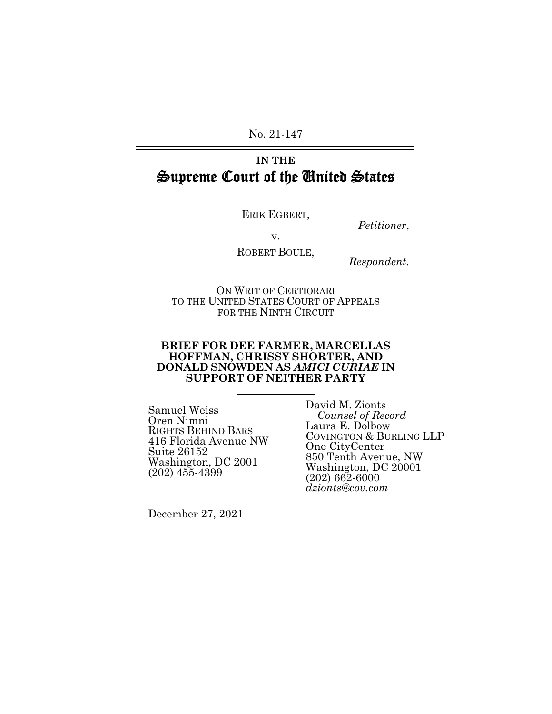No. 21-147

# **IN THE**  Supreme Court of the United States

 $\overline{a}$ 

 $\overline{a}$ 

 $\overline{a}$ 

 $\overline{a}$ 

ERIK EGBERT,

*Petitioner*,

v.

ROBERT BOULE,

*Respondent.* 

ON WRIT OF CERTIORARI TO THE UNITED STATES COURT OF APPEALS FOR THE NINTH CIRCUIT

#### **BRIEF FOR DEE FARMER, MARCELLAS HOFFMAN, CHRISSY SHORTER, AND DONALD SNOWDEN AS** *AMICI CURIAE* **IN SUPPORT OF NEITHER PARTY**

Samuel Weiss Oren Nimni RIGHTS BEHIND BARS 416 Florida Avenue NW Suite 26152 Washington, DC 2001 (202) 455-4399

David M. Zionts *Counsel of Record*  Laura E. Dolbow COVINGTON & BURLING LLP One CityCenter 850 Tenth Avenue, NW Washington, DC 20001 (202) 662-6000 *dzionts@cov.com* 

December 27, 2021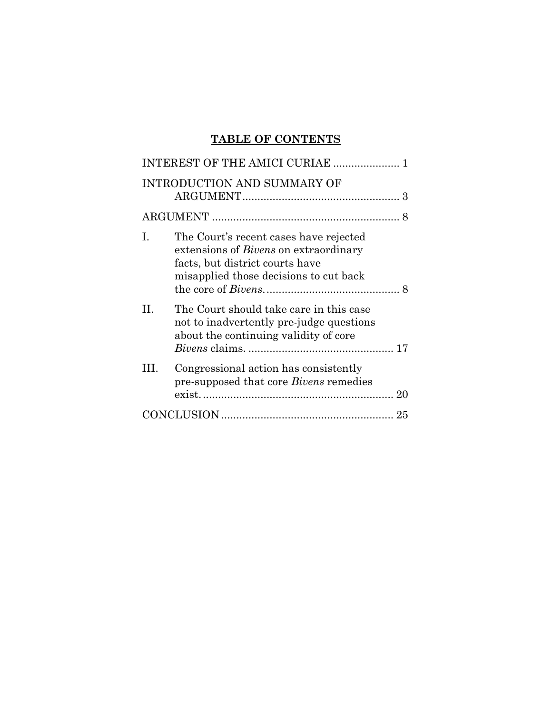# **TABLE OF CONTENTS**

|   | INTEREST OF THE AMICI CURIAE                                                                                                                                        |   |
|---|---------------------------------------------------------------------------------------------------------------------------------------------------------------------|---|
|   | <b>INTRODUCTION AND SUMMARY OF</b>                                                                                                                                  |   |
|   |                                                                                                                                                                     | 8 |
| L | The Court's recent cases have rejected<br>extensions of <i>Bivens</i> on extraordinary<br>facts, but district courts have<br>misapplied those decisions to cut back |   |
| П | The Court should take care in this case<br>not to inadvertently pre-judge questions<br>about the continuing validity of core                                        |   |
| Ш | Congressional action has consistently<br>pre-supposed that core Bivens remedies                                                                                     |   |
|   |                                                                                                                                                                     |   |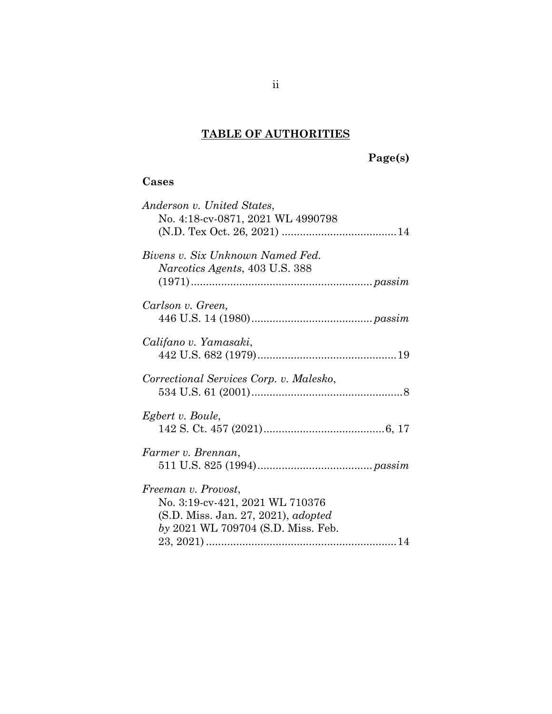# **TABLE OF AUTHORITIES**

# **Page(s)**

## **Cases**

| Anderson v. United States,<br>No. 4:18-cv-0871, 2021 WL 4990798                                                                            |
|--------------------------------------------------------------------------------------------------------------------------------------------|
| Bivens v. Six Unknown Named Fed.<br><i>Narcotics Agents, 403 U.S. 388</i>                                                                  |
| Carlson v. Green.                                                                                                                          |
| Califano v. Yamasaki,                                                                                                                      |
| Correctional Services Corp. v. Malesko,                                                                                                    |
| Egbert v. Boule,                                                                                                                           |
| Farmer v. Brennan,                                                                                                                         |
| Freeman v. Provost,<br>No. 3:19-cv-421, 2021 WL 710376<br>(S.D. Miss. Jan. 27, 2021), <i>adopted</i><br>by 2021 WL 709704 (S.D. Miss. Feb. |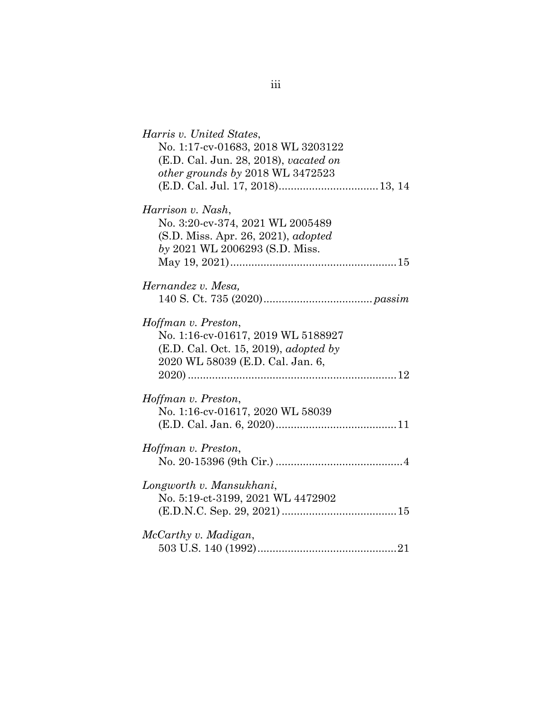| Harris v. United States,<br>No. 1:17-cv-01683, 2018 WL 3203122<br>(E.D. Cal. Jun. 28, 2018), vacated on<br>other grounds by 2018 WL 3472523   |  |
|-----------------------------------------------------------------------------------------------------------------------------------------------|--|
| Harrison v. Nash,<br>No. 3:20-cv-374, 2021 WL 2005489<br>(S.D. Miss. Apr. 26, 2021), <i>adopted</i><br>by 2021 WL 2006293 (S.D. Miss.         |  |
| Hernandez v. Mesa,                                                                                                                            |  |
| Hoffman v. Preston,<br>No. 1:16-cv-01617, 2019 WL 5188927<br>(E.D. Cal. Oct. 15, 2019), <i>adopted by</i><br>2020 WL 58039 (E.D. Cal. Jan. 6, |  |
| Hoffman v. Preston,<br>No. 1:16-cv-01617, 2020 WL 58039                                                                                       |  |
| Hoffman v. Preston,                                                                                                                           |  |
| Longworth v. Mansukhani,<br>No. 5:19-ct-3199, 2021 WL 4472902                                                                                 |  |
| McCarthy v. Madigan,                                                                                                                          |  |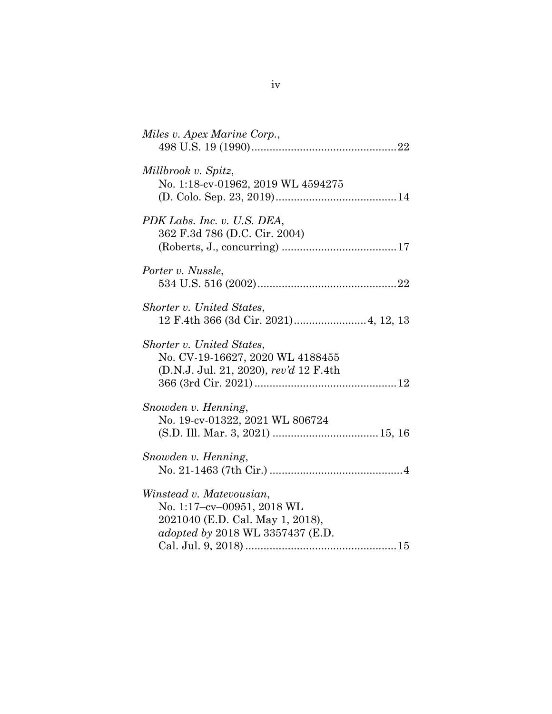| Miles v. Apex Marine Corp.,                                                                                                    |
|--------------------------------------------------------------------------------------------------------------------------------|
| Millbrook v. Spitz,<br>No. 1:18-cv-01962, 2019 WL 4594275                                                                      |
| PDK Labs. Inc. v. U.S. DEA,<br>362 F.3d 786 (D.C. Cir. 2004)                                                                   |
| Porter v. Nussle,                                                                                                              |
| Shorter v. United States,                                                                                                      |
| Shorter v. United States,<br>No. CV-19-16627, 2020 WL 4188455<br>(D.N.J. Jul. 21, 2020), rev'd 12 F.4th                        |
| Snowden v. Henning,<br>No. 19-cv-01322, 2021 WL 806724                                                                         |
| Snowden v. Henning,                                                                                                            |
| Winstead v. Matevousian,<br>No. 1:17-cv-00951, 2018 WL<br>2021040 (E.D. Cal. May 1, 2018),<br>adopted by 2018 WL 3357437 (E.D. |

iv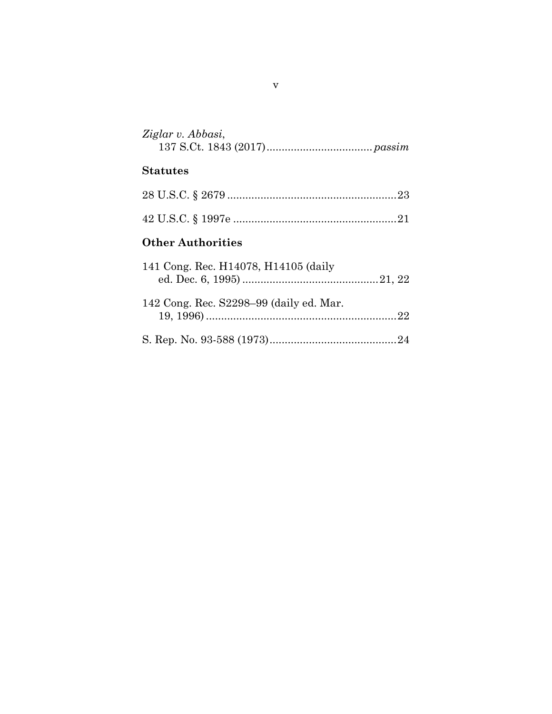| Ziglar v. Abbasi, |  |
|-------------------|--|
|                   |  |

# **Statutes**

## **Other Authorities**

| 141 Cong. Rec. H14078, H14105 (daily    |  |
|-----------------------------------------|--|
| 142 Cong. Rec. S2298-99 (daily ed. Mar. |  |
|                                         |  |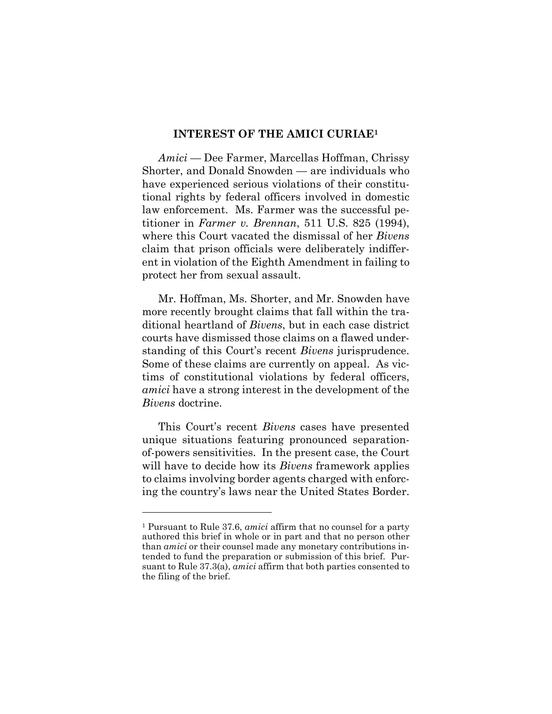#### **INTEREST OF THE AMICI CURIAE<sup>1</sup>**

<span id="page-6-0"></span>*Amici* — Dee Farmer, Marcellas Hoffman, Chrissy Shorter, and Donald Snowden — are individuals who have experienced serious violations of their constitutional rights by federal officers involved in domestic law enforcement. Ms. Farmer was the successful petitioner in *Farmer v. Brennan*, 511 U.S. 825 (1994), where this Court vacated the dismissal of her *Bivens* claim that prison officials were deliberately indifferent in violation of the Eighth Amendment in failing to protect her from sexual assault.

<span id="page-6-1"></span>Mr. Hoffman, Ms. Shorter, and Mr. Snowden have more recently brought claims that fall within the traditional heartland of *Bivens*, but in each case district courts have dismissed those claims on a flawed understanding of this Court's recent *Bivens* jurisprudence. Some of these claims are currently on appeal. As victims of constitutional violations by federal officers, *amici* have a strong interest in the development of the *Bivens* doctrine.

This Court's recent *Bivens* cases have presented unique situations featuring pronounced separationof-powers sensitivities. In the present case, the Court will have to decide how its *Bivens* framework applies to claims involving border agents charged with enforcing the country's laws near the United States Border.

l

<sup>1</sup> Pursuant to Rule 37.6, *amici* affirm that no counsel for a party authored this brief in whole or in part and that no person other than *amici* or their counsel made any monetary contributions intended to fund the preparation or submission of this brief. Pursuant to Rule 37.3(a), *amici* affirm that both parties consented to the filing of the brief.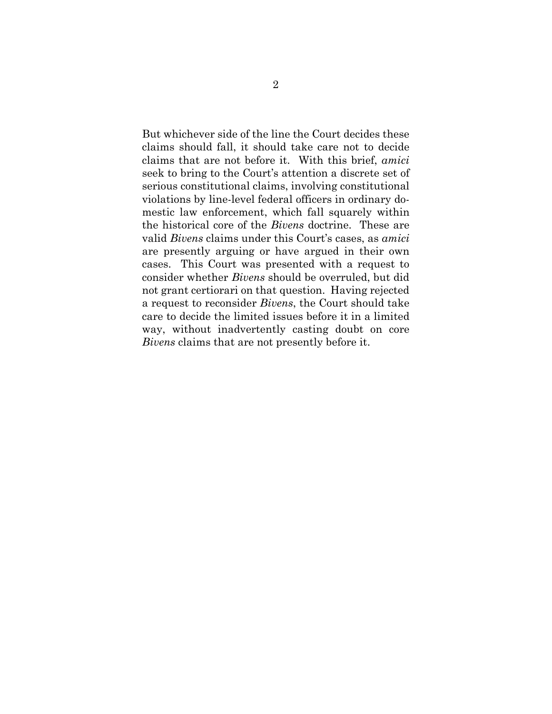But whichever side of the line the Court decides these claims should fall, it should take care not to decide claims that are not before it. With this brief, *amici* seek to bring to the Court's attention a discrete set of serious constitutional claims, involving constitutional violations by line-level federal officers in ordinary domestic law enforcement, which fall squarely within the historical core of the *Bivens* doctrine. These are valid *Bivens* claims under this Court's cases, as *amici* are presently arguing or have argued in their own cases. This Court was presented with a request to consider whether *Bivens* should be overruled, but did not grant certiorari on that question. Having rejected a request to reconsider *Bivens*, the Court should take care to decide the limited issues before it in a limited way, without inadvertently casting doubt on core *Bivens* claims that are not presently before it.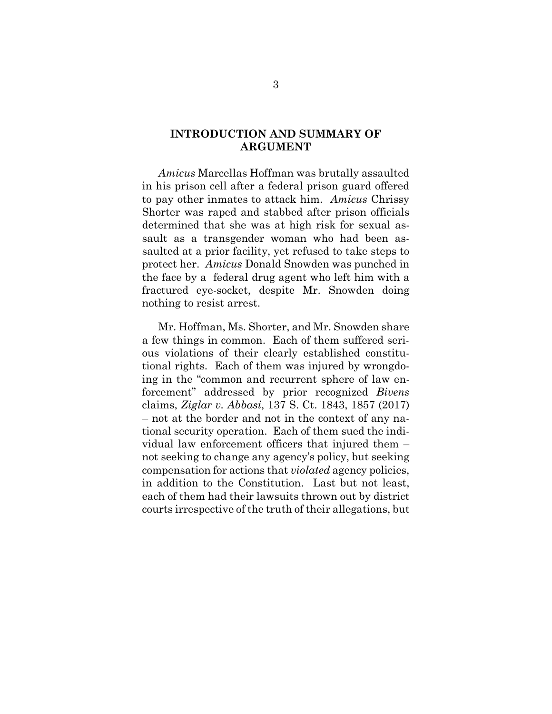### <span id="page-8-0"></span>**INTRODUCTION AND SUMMARY OF ARGUMENT**

*Amicus* Marcellas Hoffman was brutally assaulted in his prison cell after a federal prison guard offered to pay other inmates to attack him. *Amicus* Chrissy Shorter was raped and stabbed after prison officials determined that she was at high risk for sexual assault as a transgender woman who had been assaulted at a prior facility, yet refused to take steps to protect her. *Amicus* Donald Snowden was punched in the face by a federal drug agent who left him with a fractured eye-socket, despite Mr. Snowden doing nothing to resist arrest.

<span id="page-8-1"></span>Mr. Hoffman, Ms. Shorter, and Mr. Snowden share a few things in common. Each of them suffered serious violations of their clearly established constitutional rights. Each of them was injured by wrongdoing in the "common and recurrent sphere of law enforcement" addressed by prior recognized *Bivens* claims, *Ziglar v. Abbasi*, 137 S. Ct. 1843, 1857 (2017) – not at the border and not in the context of any national security operation. Each of them sued the individual law enforcement officers that injured them – not seeking to change any agency's policy, but seeking compensation for actions that *violated* agency policies, in addition to the Constitution. Last but not least, each of them had their lawsuits thrown out by district courts irrespective of the truth of their allegations, but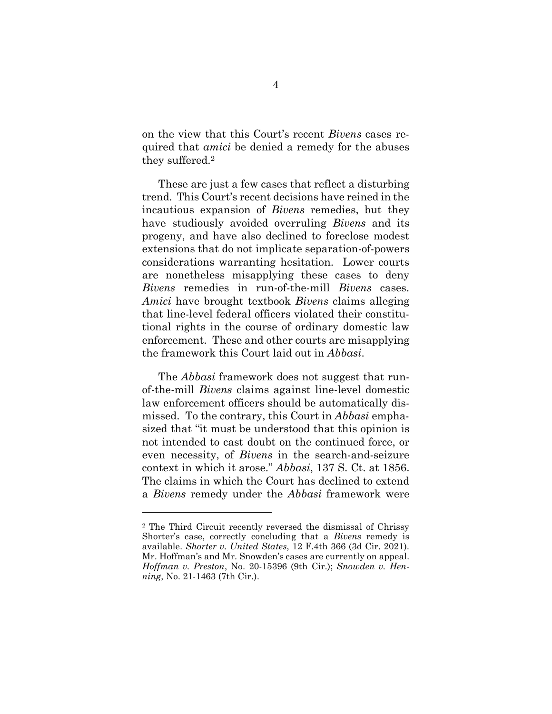on the view that this Court's recent *Bivens* cases required that *amici* be denied a remedy for the abuses they suffered.<sup>2</sup>

These are just a few cases that reflect a disturbing trend. This Court's recent decisions have reined in the incautious expansion of *Bivens* remedies, but they have studiously avoided overruling *Bivens* and its progeny, and have also declined to foreclose modest extensions that do not implicate separation-of-powers considerations warranting hesitation. Lower courts are nonetheless misapplying these cases to deny *Bivens* remedies in run-of-the-mill *Bivens* cases. *Amici* have brought textbook *Bivens* claims alleging that line-level federal officers violated their constitutional rights in the course of ordinary domestic law enforcement. These and other courts are misapplying the framework this Court laid out in *Abbasi*.

The *Abbasi* framework does not suggest that runof-the-mill *Bivens* claims against line-level domestic law enforcement officers should be automatically dismissed. To the contrary, this Court in *Abbasi* emphasized that "it must be understood that this opinion is not intended to cast doubt on the continued force, or even necessity, of *Bivens* in the search-and-seizure context in which it arose." *Abbasi*, 137 S. Ct. at 1856. The claims in which the Court has declined to extend a *Bivens* remedy under the *Abbasi* framework were

l

<span id="page-9-2"></span><span id="page-9-1"></span><span id="page-9-0"></span><sup>2</sup> The Third Circuit recently reversed the dismissal of Chrissy Shorter's case, correctly concluding that a *Bivens* remedy is available. *Shorter v. United States*, 12 F.4th 366 (3d Cir. 2021). Mr. Hoffman's and Mr. Snowden's cases are currently on appeal. *Hoffman v. Preston*, No. 20-15396 (9th Cir.); *Snowden v. Henning*, No. 21-1463 (7th Cir.).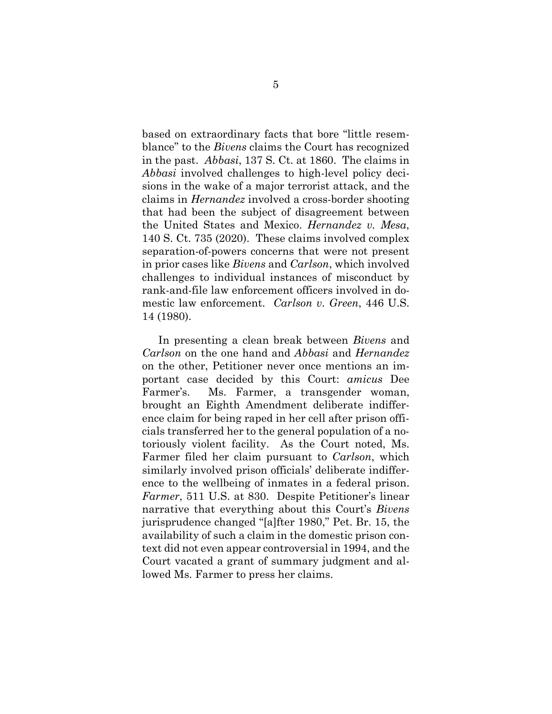based on extraordinary facts that bore "little resemblance" to the *Bivens* claims the Court has recognized in the past. *Abbasi*, 137 S. Ct. at 1860. The claims in *Abbasi* involved challenges to high-level policy decisions in the wake of a major terrorist attack, and the claims in *Hernandez* involved a cross-border shooting that had been the subject of disagreement between the United States and Mexico. *Hernandez v. Mesa*, 140 S. Ct. 735 (2020). These claims involved complex separation-of-powers concerns that were not present in prior cases like *Bivens* and *Carlson*, which involved challenges to individual instances of misconduct by rank-and-file law enforcement officers involved in domestic law enforcement. *Carlson v. Green*, 446 U.S. 14 (1980).

In presenting a clean break between *Bivens* and *Carlson* on the one hand and *Abbasi* and *Hernandez* on the other, Petitioner never once mentions an important case decided by this Court: *amicus* Dee Farmer's. Ms. Farmer, a transgender woman, brought an Eighth Amendment deliberate indifference claim for being raped in her cell after prison officials transferred her to the general population of a notoriously violent facility. As the Court noted, Ms. Farmer filed her claim pursuant to *Carlson*, which similarly involved prison officials' deliberate indifference to the wellbeing of inmates in a federal prison. *Farmer*, 511 U.S. at 830. Despite Petitioner's linear narrative that everything about this Court's *Bivens* jurisprudence changed "[a]fter 1980," Pet. Br. 15, the availability of such a claim in the domestic prison context did not even appear controversial in 1994, and the Court vacated a grant of summary judgment and allowed Ms. Farmer to press her claims.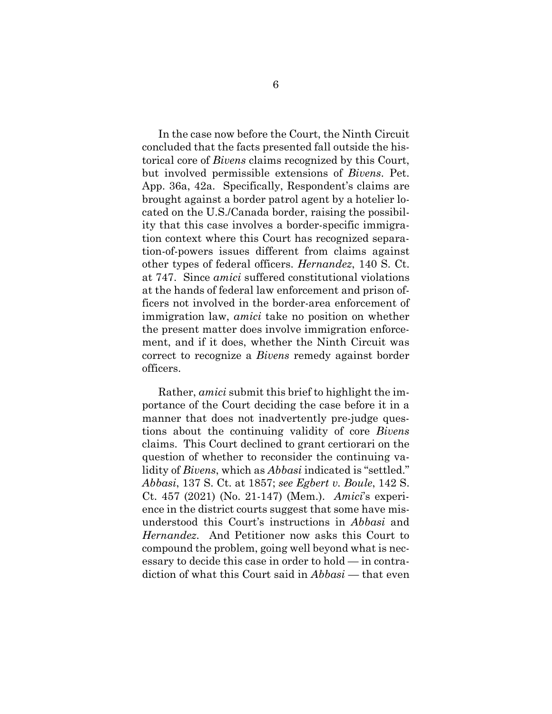In the case now before the Court, the Ninth Circuit concluded that the facts presented fall outside the historical core of *Bivens* claims recognized by this Court, but involved permissible extensions of *Bivens*. Pet. App. 36a, 42a. Specifically, Respondent's claims are brought against a border patrol agent by a hotelier located on the U.S./Canada border, raising the possibility that this case involves a border-specific immigration context where this Court has recognized separation-of-powers issues different from claims against other types of federal officers. *Hernandez*, 140 S. Ct. at 747. Since *amici* suffered constitutional violations at the hands of federal law enforcement and prison officers not involved in the border-area enforcement of immigration law, *amici* take no position on whether the present matter does involve immigration enforcement, and if it does, whether the Ninth Circuit was correct to recognize a *Bivens* remedy against border officers.

<span id="page-11-0"></span>Rather, *amici* submit this brief to highlight the importance of the Court deciding the case before it in a manner that does not inadvertently pre-judge questions about the continuing validity of core *Bivens*  claims. This Court declined to grant certiorari on the question of whether to reconsider the continuing validity of *Bivens*, which as *Abbasi* indicated is "settled." *Abbasi*, 137 S. Ct. at 1857; *see Egbert v. Boule*, 142 S. Ct. 457 (2021) (No. 21-147) (Mem.). *Amici*'s experience in the district courts suggest that some have misunderstood this Court's instructions in *Abbasi* and *Hernandez*. And Petitioner now asks this Court to compound the problem, going well beyond what is necessary to decide this case in order to hold — in contradiction of what this Court said in *Abbasi* — that even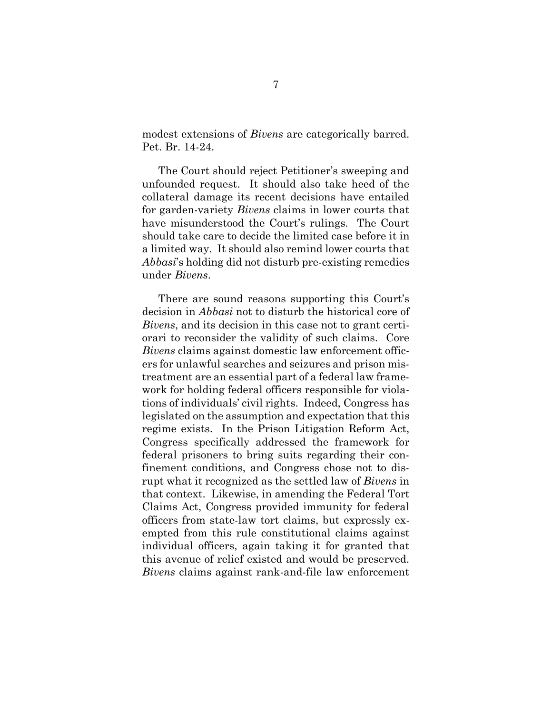modest extensions of *Bivens* are categorically barred. Pet. Br. 14-24.

The Court should reject Petitioner's sweeping and unfounded request. It should also take heed of the collateral damage its recent decisions have entailed for garden-variety *Bivens* claims in lower courts that have misunderstood the Court's rulings. The Court should take care to decide the limited case before it in a limited way. It should also remind lower courts that *Abbasi*'s holding did not disturb pre-existing remedies under *Bivens*.

There are sound reasons supporting this Court's decision in *Abbasi* not to disturb the historical core of *Bivens*, and its decision in this case not to grant certiorari to reconsider the validity of such claims. Core *Bivens* claims against domestic law enforcement officers for unlawful searches and seizures and prison mistreatment are an essential part of a federal law framework for holding federal officers responsible for violations of individuals' civil rights. Indeed, Congress has legislated on the assumption and expectation that this regime exists. In the Prison Litigation Reform Act, Congress specifically addressed the framework for federal prisoners to bring suits regarding their confinement conditions, and Congress chose not to disrupt what it recognized as the settled law of *Bivens* in that context. Likewise, in amending the Federal Tort Claims Act, Congress provided immunity for federal officers from state-law tort claims, but expressly exempted from this rule constitutional claims against individual officers, again taking it for granted that this avenue of relief existed and would be preserved. *Bivens* claims against rank-and-file law enforcement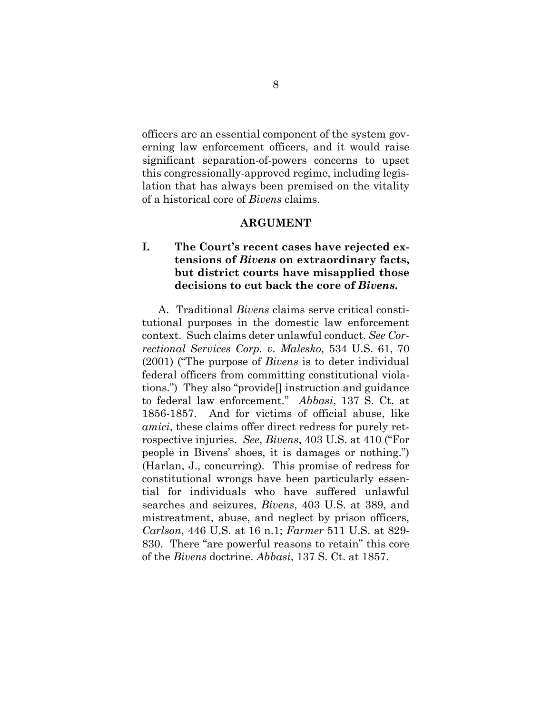officers are an essential component of the system governing law enforcement officers, and it would raise significant separation-of-powers concerns to upset this congressionally-approved regime, including legislation that has always been premised on the vitality of a historical core of *Bivens* claims.

### <span id="page-13-2"></span>**ARGUMENT**

### <span id="page-13-1"></span><span id="page-13-0"></span>**I. The Court's recent cases have rejected extensions of** *Bivens* **on extraordinary facts, but district courts have misapplied those decisions to cut back the core of** *Bivens***.**

A. Traditional *Bivens* claims serve critical constitutional purposes in the domestic law enforcement context. Such claims deter unlawful conduct. *See Correctional Services Corp. v. Malesko*, 534 U.S. 61, 70 (2001) ("The purpose of *Bivens* is to deter individual federal officers from committing constitutional violations.") They also "provide[] instruction and guidance to federal law enforcement." *Abbasi*, 137 S. Ct. at 1856-1857. And for victims of official abuse, like *amici*, these claims offer direct redress for purely retrospective injuries. *See*, *Bivens*, 403 U.S. at 410 ("For people in Bivens' shoes, it is damages or nothing.") (Harlan, J., concurring). This promise of redress for constitutional wrongs have been particularly essential for individuals who have suffered unlawful searches and seizures, *Bivens*, 403 U.S. at 389, and mistreatment, abuse, and neglect by prison officers, *Carlson*, 446 U.S. at 16 n.1; *Farmer* 511 U.S. at 829- 830. There "are powerful reasons to retain" this core of the *Bivens* doctrine. *Abbasi*, 137 S. Ct. at 1857.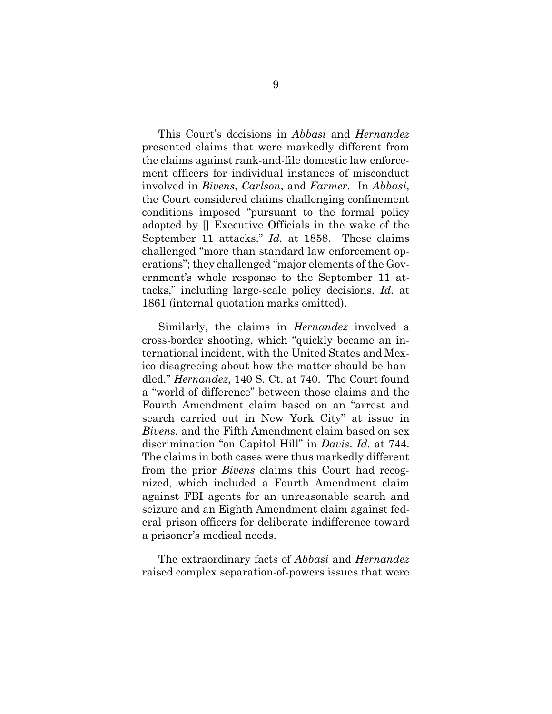This Court's decisions in *Abbasi* and *Hernandez* presented claims that were markedly different from the claims against rank-and-file domestic law enforcement officers for individual instances of misconduct involved in *Bivens*, *Carlson*, and *Farmer*. In *Abbasi*, the Court considered claims challenging confinement conditions imposed "pursuant to the formal policy adopted by [] Executive Officials in the wake of the September 11 attacks." *Id.* at 1858. These claims challenged "more than standard law enforcement operations"; they challenged "major elements of the Government's whole response to the September 11 attacks," including large-scale policy decisions. *Id.* at 1861 (internal quotation marks omitted).

Similarly, the claims in *Hernandez* involved a cross-border shooting, which "quickly became an international incident, with the United States and Mexico disagreeing about how the matter should be handled." *Hernandez*, 140 S. Ct. at 740. The Court found a "world of difference" between those claims and the Fourth Amendment claim based on an "arrest and search carried out in New York City" at issue in *Bivens*, and the Fifth Amendment claim based on sex discrimination "on Capitol Hill" in *Davis*. *Id.* at 744. The claims in both cases were thus markedly different from the prior *Bivens* claims this Court had recognized, which included a Fourth Amendment claim against FBI agents for an unreasonable search and seizure and an Eighth Amendment claim against federal prison officers for deliberate indifference toward a prisoner's medical needs.

The extraordinary facts of *Abbasi* and *Hernandez*  raised complex separation-of-powers issues that were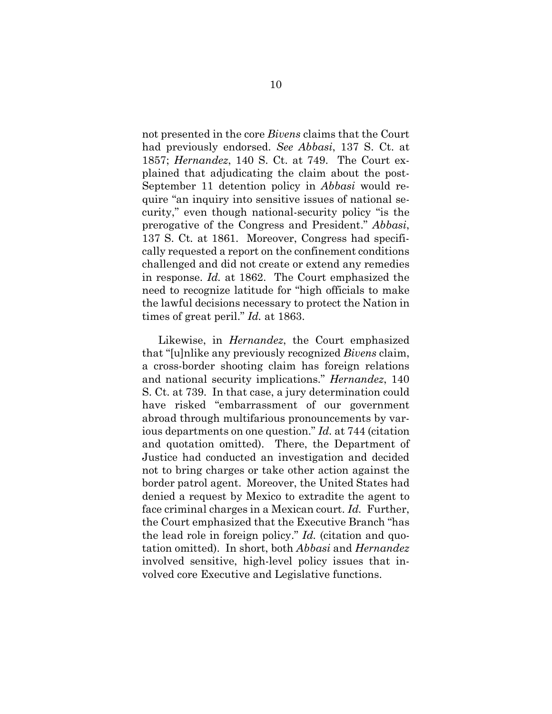not presented in the core *Bivens* claims that the Court had previously endorsed. *See Abbasi*, 137 S. Ct. at 1857; *Hernandez*, 140 S. Ct. at 749. The Court explained that adjudicating the claim about the post-September 11 detention policy in *Abbasi* would require "an inquiry into sensitive issues of national security," even though national-security policy "is the prerogative of the Congress and President." *Abbasi*, 137 S. Ct*.* at 1861. Moreover, Congress had specifically requested a report on the confinement conditions challenged and did not create or extend any remedies in response. *Id.* at 1862. The Court emphasized the need to recognize latitude for "high officials to make the lawful decisions necessary to protect the Nation in times of great peril." *Id.* at 1863.

Likewise, in *Hernandez*, the Court emphasized that "[u]nlike any previously recognized *Bivens* claim, a cross-border shooting claim has foreign relations and national security implications." *Hernandez*, 140 S. Ct. at 739. In that case, a jury determination could have risked "embarrassment of our government abroad through multifarious pronouncements by various departments on one question." *Id.* at 744 (citation and quotation omitted). There, the Department of Justice had conducted an investigation and decided not to bring charges or take other action against the border patrol agent. Moreover, the United States had denied a request by Mexico to extradite the agent to face criminal charges in a Mexican court. *Id.* Further, the Court emphasized that the Executive Branch "has the lead role in foreign policy." *Id.* (citation and quotation omitted). In short, both *Abbasi* and *Hernandez* involved sensitive, high-level policy issues that involved core Executive and Legislative functions.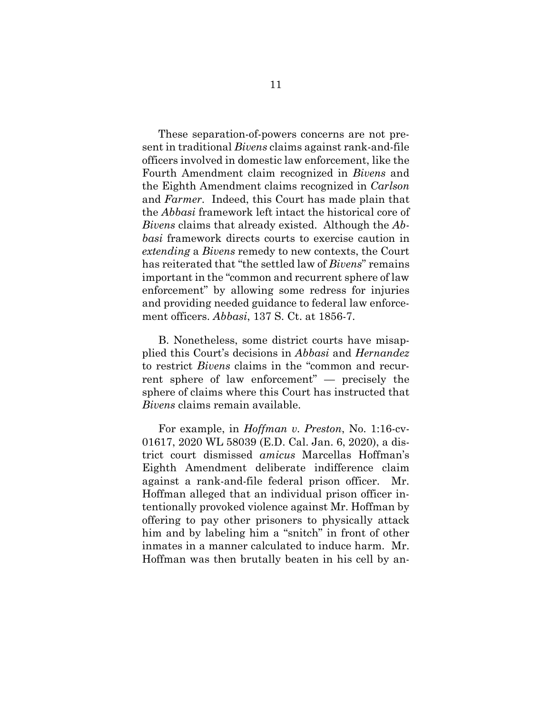These separation-of-powers concerns are not present in traditional *Bivens* claims against rank-and-file officers involved in domestic law enforcement, like the Fourth Amendment claim recognized in *Bivens* and the Eighth Amendment claims recognized in *Carlson*  and *Farmer*. Indeed, this Court has made plain that the *Abbasi* framework left intact the historical core of *Bivens* claims that already existed. Although the *Abbasi* framework directs courts to exercise caution in *extending* a *Bivens* remedy to new contexts, the Court has reiterated that "the settled law of *Bivens*" remains important in the "common and recurrent sphere of law enforcement" by allowing some redress for injuries and providing needed guidance to federal law enforcement officers. *Abbasi*, 137 S. Ct. at 1856-7.

B. Nonetheless, some district courts have misapplied this Court's decisions in *Abbasi* and *Hernandez*  to restrict *Bivens* claims in the "common and recurrent sphere of law enforcement" — precisely the sphere of claims where this Court has instructed that *Bivens* claims remain available.

<span id="page-16-0"></span>For example, in *Hoffman v. Preston*, No. 1:16-cv-01617, 2020 WL 58039 (E.D. Cal. Jan. 6, 2020), a district court dismissed *amicus* Marcellas Hoffman's Eighth Amendment deliberate indifference claim against a rank-and-file federal prison officer. Mr. Hoffman alleged that an individual prison officer intentionally provoked violence against Mr. Hoffman by offering to pay other prisoners to physically attack him and by labeling him a "snitch" in front of other inmates in a manner calculated to induce harm. Mr. Hoffman was then brutally beaten in his cell by an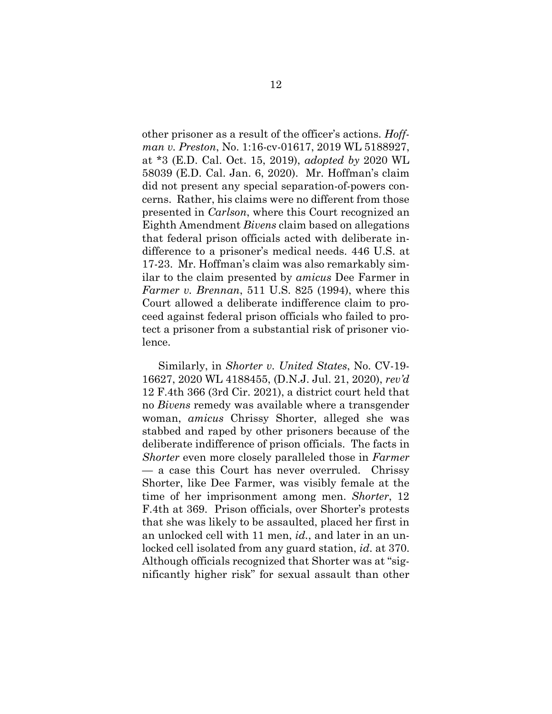other prisoner as a result of the officer's actions. *Hoffman v. Preston*, No. 1:16-cv-01617, 2019 WL 5188927, at \*3 (E.D. Cal. Oct. 15, 2019), *adopted by* 2020 WL 58039 (E.D. Cal. Jan. 6, 2020). Mr. Hoffman's claim did not present any special separation-of-powers concerns. Rather, his claims were no different from those presented in *Carlson*, where this Court recognized an Eighth Amendment *Bivens* claim based on allegations that federal prison officials acted with deliberate indifference to a prisoner's medical needs. 446 U.S. at 17-23. Mr. Hoffman's claim was also remarkably similar to the claim presented by *amicus* Dee Farmer in *Farmer v. Brennan*, 511 U.S. 825 (1994), where this Court allowed a deliberate indifference claim to proceed against federal prison officials who failed to protect a prisoner from a substantial risk of prisoner violence.

<span id="page-17-1"></span><span id="page-17-0"></span>Similarly, in *Shorter v. United States*, No. CV-19- 16627, 2020 WL 4188455, (D.N.J. Jul. 21, 2020), *rev'd*  12 F.4th 366 (3rd Cir. 2021), a district court held that no *Bivens* remedy was available where a transgender woman, *amicus* Chrissy Shorter, alleged she was stabbed and raped by other prisoners because of the deliberate indifference of prison officials. The facts in *Shorter* even more closely paralleled those in *Farmer*  — a case this Court has never overruled. Chrissy Shorter, like Dee Farmer, was visibly female at the time of her imprisonment among men. *Shorter*, 12 F.4th at 369. Prison officials, over Shorter's protests that she was likely to be assaulted, placed her first in an unlocked cell with 11 men, *id.*, and later in an unlocked cell isolated from any guard station, *id*. at 370. Although officials recognized that Shorter was at "significantly higher risk" for sexual assault than other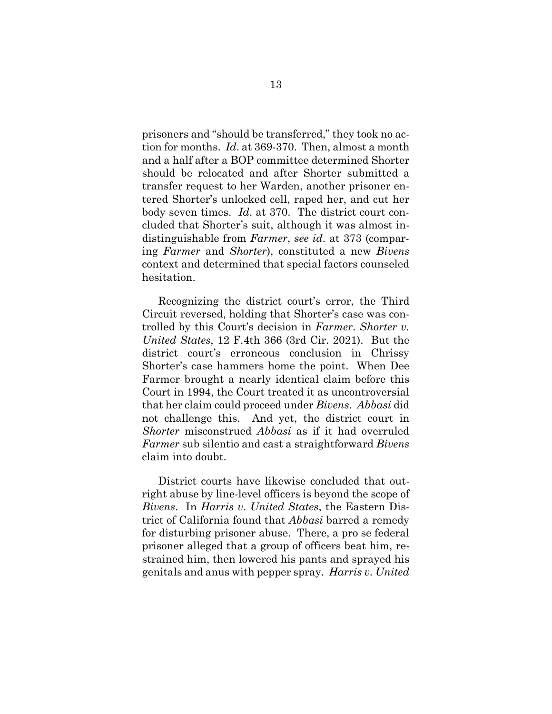prisoners and "should be transferred," they took no action for months. *Id*. at 369-370. Then, almost a month and a half after a BOP committee determined Shorter should be relocated and after Shorter submitted a transfer request to her Warden, another prisoner entered Shorter's unlocked cell, raped her, and cut her body seven times. *Id*. at 370. The district court concluded that Shorter's suit, although it was almost indistinguishable from *Farmer*, *see id*. at 373 (comparing *Farmer* and *Shorter*), constituted a new *Bivens*  context and determined that special factors counseled hesitation.

Recognizing the district court's error, the Third Circuit reversed, holding that Shorter's case was controlled by this Court's decision in *Farmer*. *Shorter v. United States*, 12 F.4th 366 (3rd Cir. 2021). But the district court's erroneous conclusion in Chrissy Shorter's case hammers home the point. When Dee Farmer brought a nearly identical claim before this Court in 1994, the Court treated it as uncontroversial that her claim could proceed under *Bivens*. *Abbasi* did not challenge this. And yet, the district court in *Shorter* misconstrued *Abbasi* as if it had overruled *Farmer* sub silentio and cast a straightforward *Bivens*  claim into doubt.

<span id="page-18-0"></span>District courts have likewise concluded that outright abuse by line-level officers is beyond the scope of *Bivens*. In *Harris v. United States*, the Eastern District of California found that *Abbasi* barred a remedy for disturbing prisoner abuse. There, a pro se federal prisoner alleged that a group of officers beat him, restrained him, then lowered his pants and sprayed his genitals and anus with pepper spray. *Harris v. United*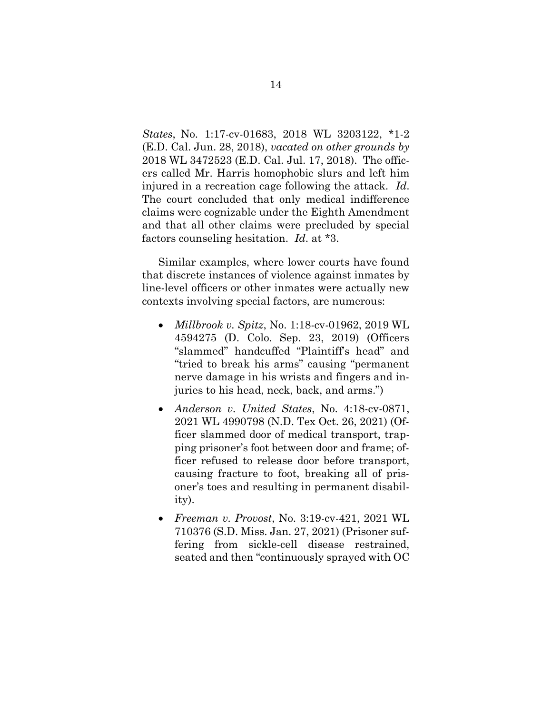*States*, No. 1:17-cv-01683, 2018 WL 3203122, \*1-2 (E.D. Cal. Jun. 28, 2018), *vacated on other grounds by* 2018 WL 3472523 (E.D. Cal. Jul. 17, 2018). The officers called Mr. Harris homophobic slurs and left him injured in a recreation cage following the attack. *Id*. The court concluded that only medical indifference claims were cognizable under the Eighth Amendment and that all other claims were precluded by special factors counseling hesitation. *Id*. at \*3.

Similar examples, where lower courts have found that discrete instances of violence against inmates by line-level officers or other inmates were actually new contexts involving special factors, are numerous:

- <span id="page-19-2"></span> *Millbrook v. Spitz*, No. 1:18-cv-01962, 2019 WL 4594275 (D. Colo. Sep. 23, 2019) (Officers "slammed" handcuffed "Plaintiff's head" and "tried to break his arms" causing "permanent nerve damage in his wrists and fingers and injuries to his head, neck, back, and arms.")
- <span id="page-19-0"></span> *Anderson v. United States*, No. 4:18-cv-0871, 2021 WL 4990798 (N.D. Tex Oct. 26, 2021) (Officer slammed door of medical transport, trapping prisoner's foot between door and frame; officer refused to release door before transport, causing fracture to foot, breaking all of prisoner's toes and resulting in permanent disability).
- <span id="page-19-1"></span> *Freeman v. Provost*, No. 3:19-cv-421, 2021 WL 710376 (S.D. Miss. Jan. 27, 2021) (Prisoner suffering from sickle-cell disease restrained, seated and then "continuously sprayed with OC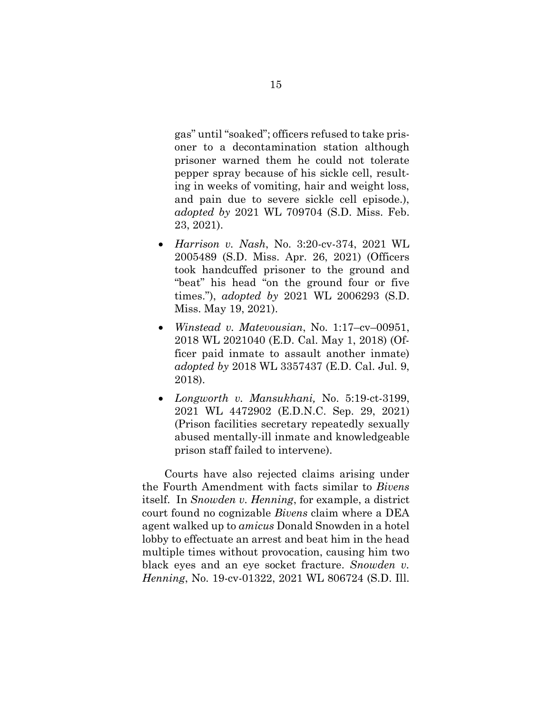gas" until "soaked"; officers refused to take prisoner to a decontamination station although prisoner warned them he could not tolerate pepper spray because of his sickle cell, resulting in weeks of vomiting, hair and weight loss, and pain due to severe sickle cell episode.), *adopted by* 2021 WL 709704 (S.D. Miss. Feb. 23, 2021).

- *Harrison v. Nash*, No. 3:20-cv-374, 2021 WL 2005489 (S.D. Miss. Apr. 26, 2021) (Officers took handcuffed prisoner to the ground and "beat" his head "on the ground four or five times."), *adopted by* 2021 WL 2006293 (S.D. Miss. May 19, 2021).
- <span id="page-20-1"></span> *Winstead v. Matevousian*, No. 1:17–cv–00951, 2018 WL 2021040 (E.D. Cal. May 1, 2018) (Officer paid inmate to assault another inmate) *adopted by* 2018 WL 3357437 (E.D. Cal. Jul. 9, 2018).
- *Longworth v. Mansukhani,* No. 5:19-ct-3199, 2021 WL 4472902 (E.D.N.C. Sep. 29, 2021) (Prison facilities secretary repeatedly sexually abused mentally-ill inmate and knowledgeable prison staff failed to intervene).

<span id="page-20-0"></span> Courts have also rejected claims arising under the Fourth Amendment with facts similar to *Bivens*  itself. In *Snowden v. Henning*, for example, a district court found no cognizable *Bivens* claim where a DEA agent walked up to *amicus* Donald Snowden in a hotel lobby to effectuate an arrest and beat him in the head multiple times without provocation, causing him two black eyes and an eye socket fracture. *Snowden v. Henning*, No. 19-cv-01322, 2021 WL 806724 (S.D. Ill.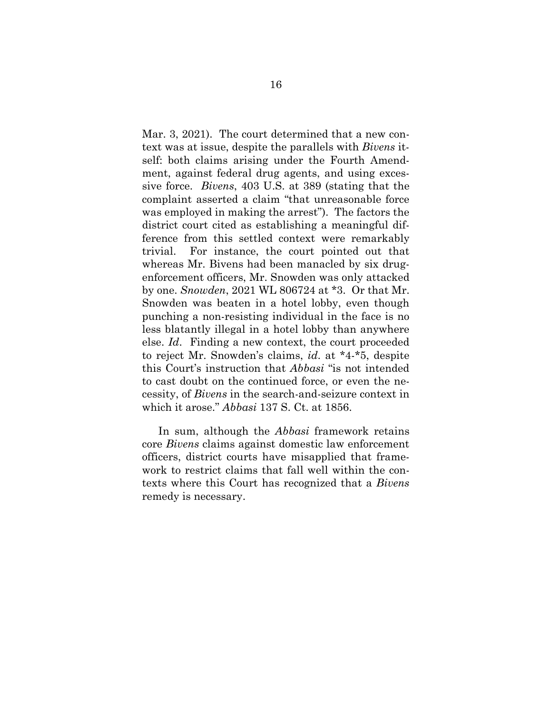Mar. 3, 2021). The court determined that a new context was at issue, despite the parallels with *Bivens* itself: both claims arising under the Fourth Amendment, against federal drug agents, and using excessive force. *Bivens*, 403 U.S. at 389 (stating that the complaint asserted a claim "that unreasonable force was employed in making the arrest"). The factors the district court cited as establishing a meaningful difference from this settled context were remarkably trivial. For instance, the court pointed out that whereas Mr. Bivens had been manacled by six drugenforcement officers, Mr. Snowden was only attacked by one. *Snowden*, 2021 WL 806724 at \*3. Or that Mr. Snowden was beaten in a hotel lobby, even though punching a non-resisting individual in the face is no less blatantly illegal in a hotel lobby than anywhere else. *Id*. Finding a new context, the court proceeded to reject Mr. Snowden's claims, *id*. at \*4-\*5, despite this Court's instruction that *Abbasi* "is not intended to cast doubt on the continued force, or even the necessity, of *Bivens* in the search-and-seizure context in which it arose." *Abbasi* 137 S. Ct. at 1856.

In sum, although the *Abbasi* framework retains core *Bivens* claims against domestic law enforcement officers, district courts have misapplied that framework to restrict claims that fall well within the contexts where this Court has recognized that a *Bivens* remedy is necessary.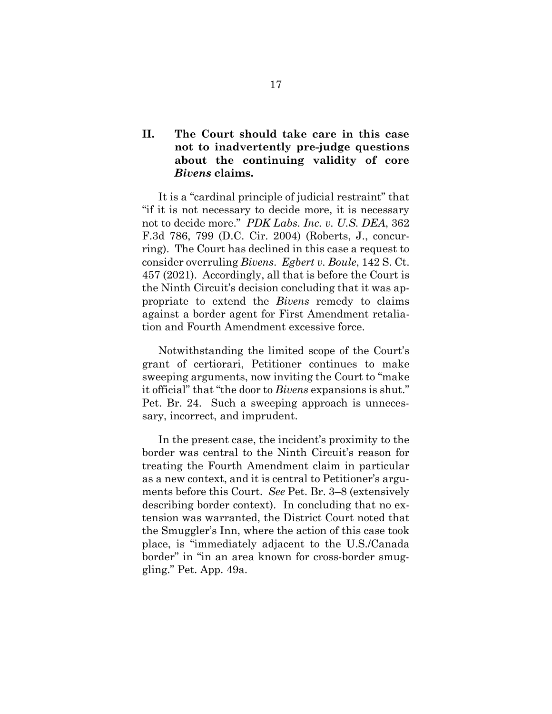### <span id="page-22-0"></span>**II. The Court should take care in this case not to inadvertently pre-judge questions about the continuing validity of core**  *Bivens* **claims.**

<span id="page-22-1"></span>It is a "cardinal principle of judicial restraint" that "if it is not necessary to decide more, it is necessary not to decide more." *PDK Labs. Inc. v. U.S. DEA*, 362 F.3d 786, 799 (D.C. Cir. 2004) (Roberts, J., concurring). The Court has declined in this case a request to consider overruling *Bivens*. *Egbert v. Boule*, 142 S. Ct. 457 (2021). Accordingly, all that is before the Court is the Ninth Circuit's decision concluding that it was appropriate to extend the *Bivens* remedy to claims against a border agent for First Amendment retaliation and Fourth Amendment excessive force.

Notwithstanding the limited scope of the Court's grant of certiorari, Petitioner continues to make sweeping arguments, now inviting the Court to "make it official" that "the door to *Bivens* expansions is shut." Pet. Br. 24. Such a sweeping approach is unnecessary, incorrect, and imprudent.

In the present case, the incident's proximity to the border was central to the Ninth Circuit's reason for treating the Fourth Amendment claim in particular as a new context, and it is central to Petitioner's arguments before this Court. *See* Pet. Br. 3–8 (extensively describing border context). In concluding that no extension was warranted, the District Court noted that the Smuggler's Inn, where the action of this case took place, is "immediately adjacent to the U.S./Canada border" in "in an area known for cross-border smuggling." Pet. App. 49a.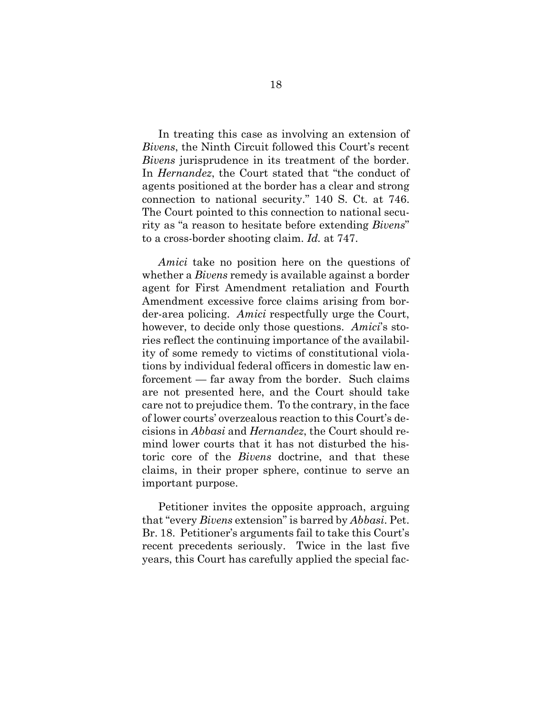In treating this case as involving an extension of *Bivens*, the Ninth Circuit followed this Court's recent *Bivens* jurisprudence in its treatment of the border. In *Hernandez*, the Court stated that "the conduct of agents positioned at the border has a clear and strong connection to national security." 140 S. Ct. at 746. The Court pointed to this connection to national security as "a reason to hesitate before extending *Bivens*" to a cross-border shooting claim. *Id.* at 747.

*Amici* take no position here on the questions of whether a *Bivens* remedy is available against a border agent for First Amendment retaliation and Fourth Amendment excessive force claims arising from border-area policing. *Amici* respectfully urge the Court, however, to decide only those questions. *Amici*'s stories reflect the continuing importance of the availability of some remedy to victims of constitutional violations by individual federal officers in domestic law enforcement — far away from the border. Such claims are not presented here, and the Court should take care not to prejudice them. To the contrary, in the face of lower courts' overzealous reaction to this Court's decisions in *Abbasi* and *Hernandez*, the Court should remind lower courts that it has not disturbed the historic core of the *Bivens* doctrine, and that these claims, in their proper sphere, continue to serve an important purpose.

Petitioner invites the opposite approach, arguing that "every *Bivens* extension" is barred by *Abbasi*. Pet. Br. 18. Petitioner's arguments fail to take this Court's recent precedents seriously. Twice in the last five years, this Court has carefully applied the special fac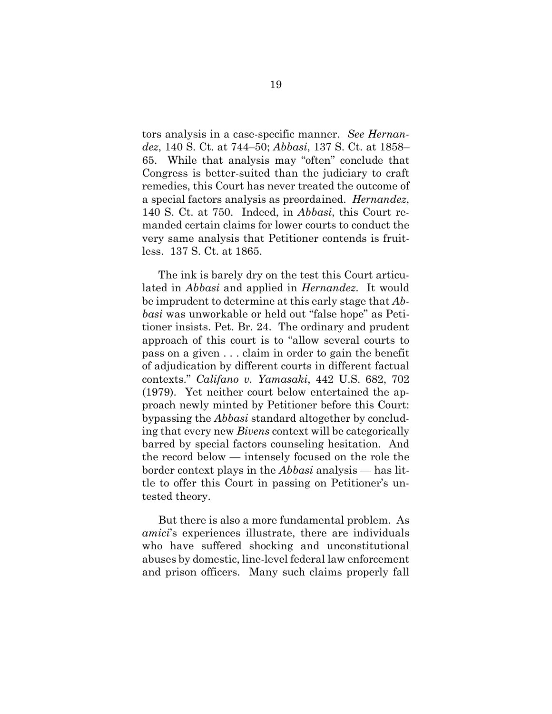tors analysis in a case-specific manner. *See Hernandez*, 140 S. Ct. at 744–50; *Abbasi*, 137 S. Ct. at 1858– 65. While that analysis may "often" conclude that Congress is better-suited than the judiciary to craft remedies, this Court has never treated the outcome of a special factors analysis as preordained. *Hernandez*, 140 S. Ct. at 750. Indeed, in *Abbasi*, this Court remanded certain claims for lower courts to conduct the very same analysis that Petitioner contends is fruitless. 137 S. Ct. at 1865.

<span id="page-24-0"></span>The ink is barely dry on the test this Court articulated in *Abbasi* and applied in *Hernandez*. It would be imprudent to determine at this early stage that *Abbasi* was unworkable or held out "false hope" as Petitioner insists. Pet. Br. 24. The ordinary and prudent approach of this court is to "allow several courts to pass on a given . . . claim in order to gain the benefit of adjudication by different courts in different factual contexts." *Califano v. Yamasaki*, 442 U.S. 682, 702 (1979). Yet neither court below entertained the approach newly minted by Petitioner before this Court: bypassing the *Abbasi* standard altogether by concluding that every new *Bivens* context will be categorically barred by special factors counseling hesitation. And the record below — intensely focused on the role the border context plays in the *Abbasi* analysis — has little to offer this Court in passing on Petitioner's untested theory.

But there is also a more fundamental problem. As *amici*'s experiences illustrate, there are individuals who have suffered shocking and unconstitutional abuses by domestic, line-level federal law enforcement and prison officers. Many such claims properly fall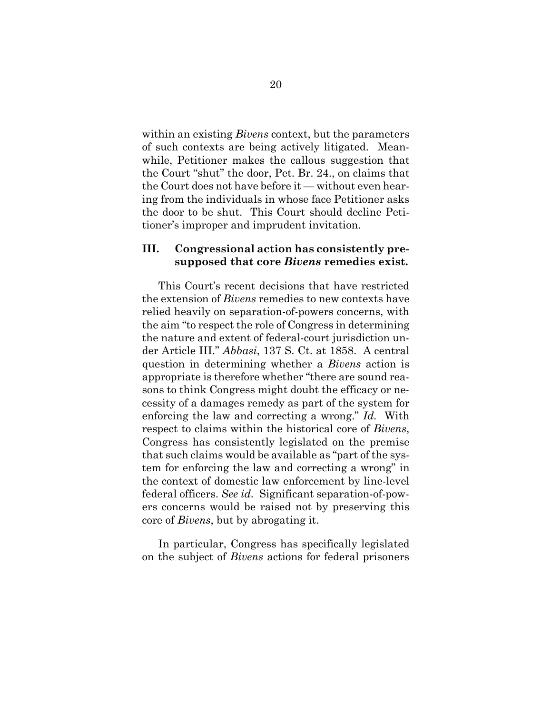within an existing *Bivens* context, but the parameters of such contexts are being actively litigated. Meanwhile, Petitioner makes the callous suggestion that the Court "shut" the door, Pet. Br. 24., on claims that the Court does not have before it — without even hearing from the individuals in whose face Petitioner asks the door to be shut. This Court should decline Petitioner's improper and imprudent invitation.

### <span id="page-25-0"></span>**III. Congressional action has consistently presupposed that core** *Bivens* **remedies exist.**

This Court's recent decisions that have restricted the extension of *Bivens* remedies to new contexts have relied heavily on separation-of-powers concerns, with the aim "to respect the role of Congress in determining the nature and extent of federal-court jurisdiction under Article III." *Abbasi*, 137 S. Ct. at 1858. A central question in determining whether a *Bivens* action is appropriate is therefore whether "there are sound reasons to think Congress might doubt the efficacy or necessity of a damages remedy as part of the system for enforcing the law and correcting a wrong." *Id.* With respect to claims within the historical core of *Bivens*, Congress has consistently legislated on the premise that such claims would be available as "part of the system for enforcing the law and correcting a wrong" in the context of domestic law enforcement by line-level federal officers. *See id.* Significant separation-of-powers concerns would be raised not by preserving this core of *Bivens*, but by abrogating it.

In particular, Congress has specifically legislated on the subject of *Bivens* actions for federal prisoners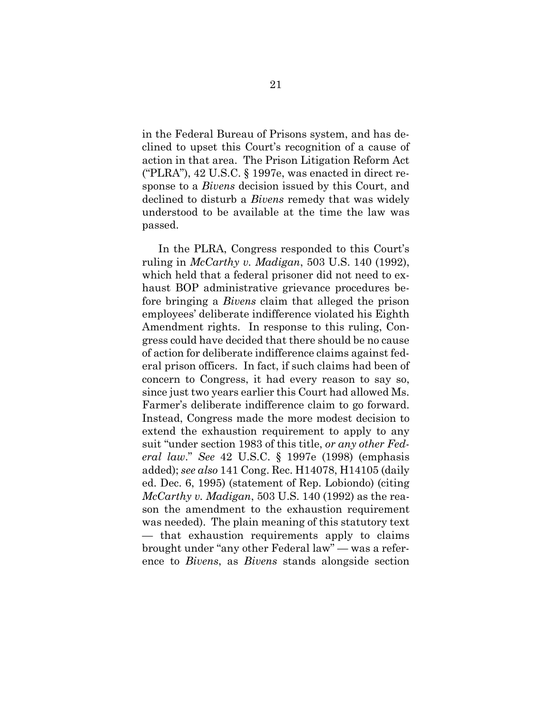in the Federal Bureau of Prisons system, and has declined to upset this Court's recognition of a cause of action in that area. The Prison Litigation Reform Act ("PLRA"), 42 U.S.C. § 1997e, was enacted in direct response to a *Bivens* decision issued by this Court, and declined to disturb a *Bivens* remedy that was widely understood to be available at the time the law was passed.

In the PLRA, Congress responded to this Court's ruling in *McCarthy v. Madigan*, 503 U.S. 140 (1992), which held that a federal prisoner did not need to exhaust BOP administrative grievance procedures before bringing a *Bivens* claim that alleged the prison employees' deliberate indifference violated his Eighth Amendment rights. In response to this ruling, Congress could have decided that there should be no cause of action for deliberate indifference claims against federal prison officers. In fact, if such claims had been of concern to Congress, it had every reason to say so, since just two years earlier this Court had allowed Ms. Farmer's deliberate indifference claim to go forward. Instead, Congress made the more modest decision to extend the exhaustion requirement to apply to any suit "under section 1983 of this title, *or any other Federal law*." *See* 42 U.S.C. § 1997e (1998) (emphasis added); *see also* 141 Cong. Rec. H14078, H14105 (daily ed. Dec. 6, 1995) (statement of Rep. Lobiondo) (citing *McCarthy v. Madigan*, 503 U.S. 140 (1992) as the reason the amendment to the exhaustion requirement was needed). The plain meaning of this statutory text — that exhaustion requirements apply to claims brought under "any other Federal law" — was a reference to *Bivens*, as *Bivens* stands alongside section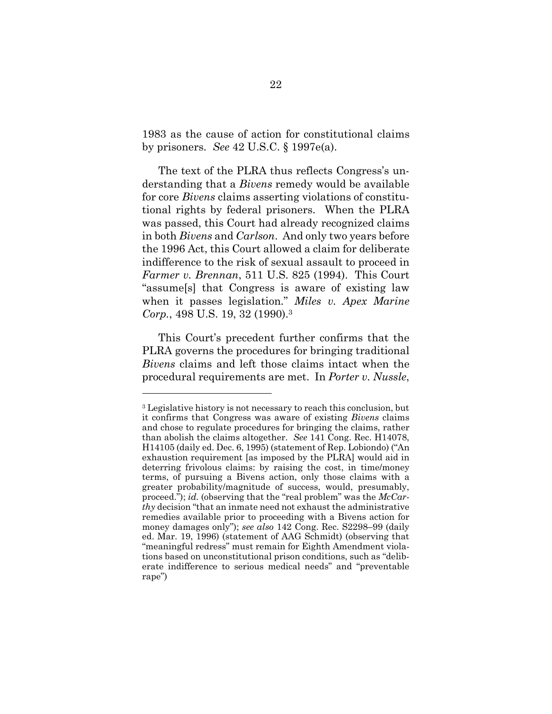<span id="page-27-3"></span>1983 as the cause of action for constitutional claims by prisoners. *See* 42 U.S.C. § 1997e(a).

The text of the PLRA thus reflects Congress's understanding that a *Bivens* remedy would be available for core *Bivens* claims asserting violations of constitutional rights by federal prisoners. When the PLRA was passed, this Court had already recognized claims in both *Bivens* and *Carlson*. And only two years before the 1996 Act, this Court allowed a claim for deliberate indifference to the risk of sexual assault to proceed in *Farmer v. Brennan*, 511 U.S. 825 (1994). This Court "assume[s] that Congress is aware of existing law when it passes legislation." *Miles v. Apex Marine Corp.*, 498 U.S. 19, 32 (1990).<sup>3</sup>

<span id="page-27-1"></span>This Court's precedent further confirms that the PLRA governs the procedures for bringing traditional *Bivens* claims and left those claims intact when the procedural requirements are met. In *Porter v. Nussle*,

<span id="page-27-2"></span>l

<span id="page-27-4"></span><span id="page-27-0"></span><sup>3</sup> Legislative history is not necessary to reach this conclusion, but it confirms that Congress was aware of existing *Bivens* claims and chose to regulate procedures for bringing the claims, rather than abolish the claims altogether. *See* 141 Cong. Rec. H14078, H14105 (daily ed. Dec. 6, 1995) (statement of Rep. Lobiondo) ("An exhaustion requirement [as imposed by the PLRA] would aid in deterring frivolous claims: by raising the cost, in time/money terms, of pursuing a Bivens action, only those claims with a greater probability/magnitude of success, would, presumably, proceed."); *id.* (observing that the "real problem" was the *McCarthy* decision "that an inmate need not exhaust the administrative remedies available prior to proceeding with a Bivens action for money damages only"); *see also* 142 Cong. Rec. S2298–99 (daily ed. Mar. 19, 1996) (statement of AAG Schmidt) (observing that "meaningful redress" must remain for Eighth Amendment violations based on unconstitutional prison conditions, such as "deliberate indifference to serious medical needs" and "preventable rape")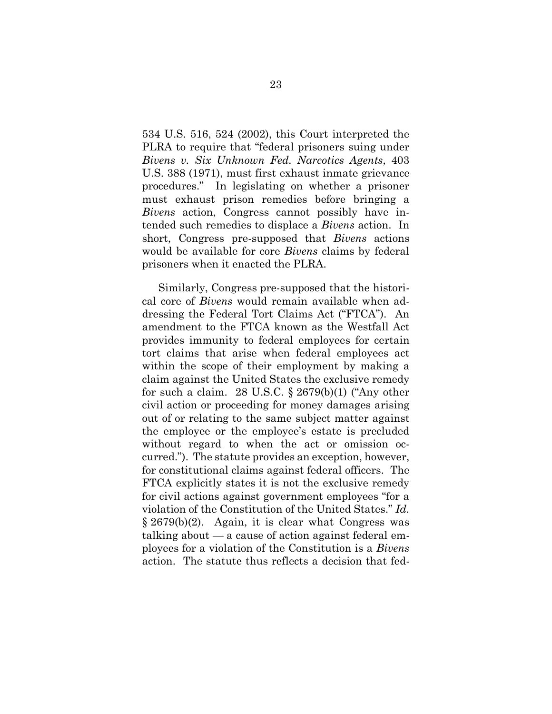534 U.S. 516, 524 (2002), this Court interpreted the PLRA to require that "federal prisoners suing under *Bivens v. Six Unknown Fed. Narcotics Agents*, 403 U.S. 388 (1971), must first exhaust inmate grievance procedures." In legislating on whether a prisoner must exhaust prison remedies before bringing a *Bivens* action, Congress cannot possibly have intended such remedies to displace a *Bivens* action. In short, Congress pre-supposed that *Bivens* actions would be available for core *Bivens* claims by federal prisoners when it enacted the PLRA.

<span id="page-28-0"></span>Similarly, Congress pre-supposed that the historical core of *Bivens* would remain available when addressing the Federal Tort Claims Act ("FTCA"). An amendment to the FTCA known as the Westfall Act provides immunity to federal employees for certain tort claims that arise when federal employees act within the scope of their employment by making a claim against the United States the exclusive remedy for such a claim. 28 U.S.C.  $\S 2679(b)(1)$  ("Any other civil action or proceeding for money damages arising out of or relating to the same subject matter against the employee or the employee's estate is precluded without regard to when the act or omission occurred."). The statute provides an exception, however, for constitutional claims against federal officers. The FTCA explicitly states it is not the exclusive remedy for civil actions against government employees "for a violation of the Constitution of the United States." *Id.*  § 2679(b)(2). Again, it is clear what Congress was talking about — a cause of action against federal employees for a violation of the Constitution is a *Bivens* action. The statute thus reflects a decision that fed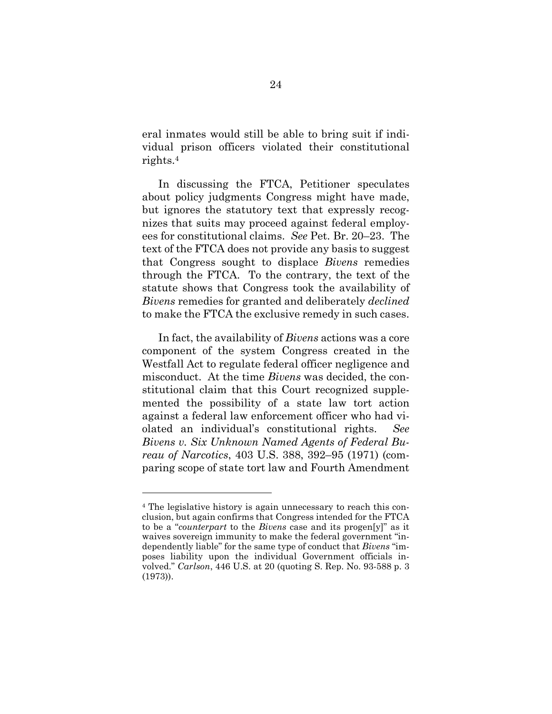eral inmates would still be able to bring suit if individual prison officers violated their constitutional rights.<sup>4</sup>

In discussing the FTCA, Petitioner speculates about policy judgments Congress might have made, but ignores the statutory text that expressly recognizes that suits may proceed against federal employees for constitutional claims. *See* Pet. Br. 20–23. The text of the FTCA does not provide any basis to suggest that Congress sought to displace *Bivens* remedies through the FTCA. To the contrary, the text of the statute shows that Congress took the availability of *Bivens* remedies for granted and deliberately *declined* to make the FTCA the exclusive remedy in such cases.

In fact, the availability of *Bivens* actions was a core component of the system Congress created in the Westfall Act to regulate federal officer negligence and misconduct. At the time *Bivens* was decided, the constitutional claim that this Court recognized supplemented the possibility of a state law tort action against a federal law enforcement officer who had violated an individual's constitutional rights. *See Bivens v. Six Unknown Named Agents of Federal Bureau of Narcotics*, 403 U.S. 388, 392–95 (1971) (comparing scope of state tort law and Fourth Amendment

l

<sup>4</sup> The legislative history is again unnecessary to reach this conclusion, but again confirms that Congress intended for the FTCA to be a "*counterpart* to the *Bivens* case and its progen[y]" as it waives sovereign immunity to make the federal government "independently liable" for the same type of conduct that *Bivens* "imposes liability upon the individual Government officials involved." *Carlson*, 446 U.S. at 20 (quoting S. Rep. No. 93-588 p. 3 (1973)).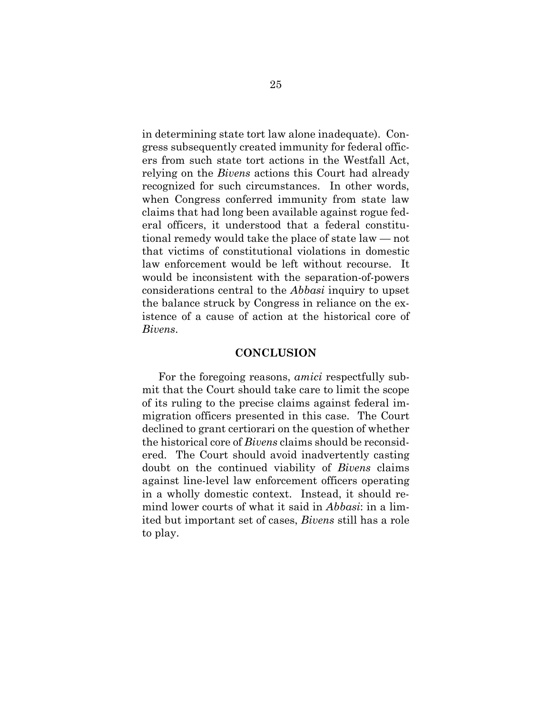in determining state tort law alone inadequate). Congress subsequently created immunity for federal officers from such state tort actions in the Westfall Act, relying on the *Bivens* actions this Court had already recognized for such circumstances. In other words, when Congress conferred immunity from state law claims that had long been available against rogue federal officers, it understood that a federal constitutional remedy would take the place of state law — not that victims of constitutional violations in domestic law enforcement would be left without recourse. It would be inconsistent with the separation-of-powers considerations central to the *Abbasi* inquiry to upset the balance struck by Congress in reliance on the existence of a cause of action at the historical core of *Bivens*.

#### **CONCLUSION**

<span id="page-30-0"></span>For the foregoing reasons, *amici* respectfully submit that the Court should take care to limit the scope of its ruling to the precise claims against federal immigration officers presented in this case. The Court declined to grant certiorari on the question of whether the historical core of *Bivens* claims should be reconsidered. The Court should avoid inadvertently casting doubt on the continued viability of *Bivens* claims against line-level law enforcement officers operating in a wholly domestic context. Instead, it should remind lower courts of what it said in *Abbasi*: in a limited but important set of cases, *Bivens* still has a role to play.